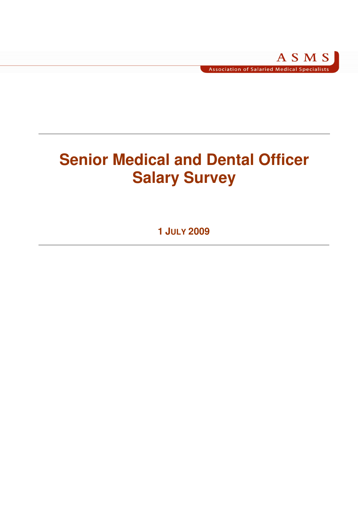# **Senior Medical and Dental Officer Salary Survey**

**1 JULY 2009**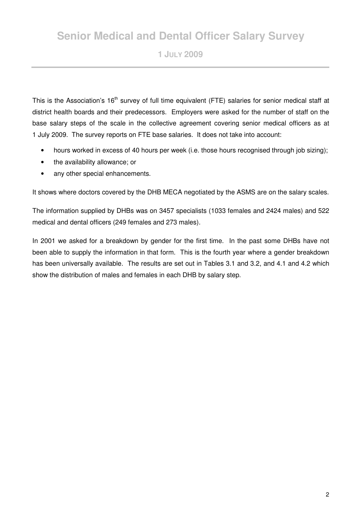# **Senior Medical and Dental Officer Salary Survey**

**1 JULY 2009** 

This is the Association's 16<sup>th</sup> survey of full time equivalent (FTE) salaries for senior medical staff at district health boards and their predecessors. Employers were asked for the number of staff on the base salary steps of the scale in the collective agreement covering senior medical officers as at 1 July 2009. The survey reports on FTE base salaries. It does not take into account:

- hours worked in excess of 40 hours per week (i.e. those hours recognised through job sizing);
- the availability allowance; or
- any other special enhancements.

It shows where doctors covered by the DHB MECA negotiated by the ASMS are on the salary scales.

The information supplied by DHBs was on 3457 specialists (1033 females and 2424 males) and 522 medical and dental officers (249 females and 273 males).

In 2001 we asked for a breakdown by gender for the first time. In the past some DHBs have not been able to supply the information in that form. This is the fourth year where a gender breakdown has been universally available. The results are set out in Tables 3.1 and 3.2, and 4.1 and 4.2 which show the distribution of males and females in each DHB by salary step.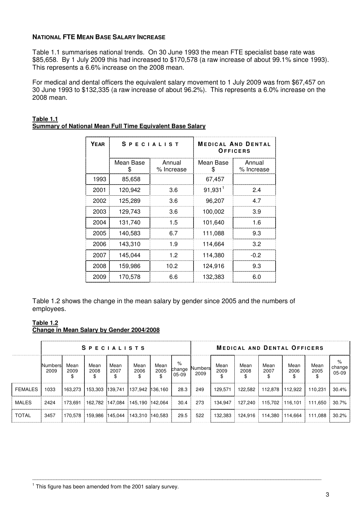#### **NATIONAL FTE MEAN BASE SALARY INCREASE**

Table 1.1 summarises national trends. On 30 June 1993 the mean FTE specialist base rate was \$85,658. By 1 July 2009 this had increased to \$170,578 (a raw increase of about 99.1% since 1993). This represents a 6.6% increase on the 2008 mean.

For medical and dental officers the equivalent salary movement to 1 July 2009 was from \$67,457 on 30 June 1993 to \$132,335 (a raw increase of about 96.2%). This represents a 6.0% increase on the 2008 mean.

| YEAR |                 | <b>SPECIALIST</b>    | <b>MEDICAL AND DENTAL</b><br>OFFICERS |                      |  |  |  |  |
|------|-----------------|----------------------|---------------------------------------|----------------------|--|--|--|--|
|      | Mean Base<br>ß. | Annual<br>% Increase | Mean Base<br>\$                       | Annual<br>% Increase |  |  |  |  |
| 1993 | 85,658          |                      | 67,457                                |                      |  |  |  |  |
| 2001 | 120,942         | 3.6                  | $91,931$ <sup>1</sup>                 | 2.4                  |  |  |  |  |
| 2002 | 125,289         | 3.6                  | 96,207                                | 4.7                  |  |  |  |  |
| 2003 | 129,743         | 3.6                  | 100,002                               | 3.9                  |  |  |  |  |
| 2004 | 131,740         | 1.5                  | 101,640                               | 1.6                  |  |  |  |  |
| 2005 | 140,583         | 6.7                  | 111,088                               | 9.3                  |  |  |  |  |
| 2006 | 143.310         | 1.9                  | 114,664                               | 3.2                  |  |  |  |  |
| 2007 | 145,044         | 1.2                  | 114,380                               | $-0.2$               |  |  |  |  |
| 2008 | 159,986         | 10.2                 | 124,916                               | 9.3                  |  |  |  |  |
| 2009 | 170,578         | 6.6                  | 132,383                               | 6.0                  |  |  |  |  |

#### **Table 1.1 Summary of National Mean Full Time Equivalent Base Salary**

Table 1.2 shows the change in the mean salary by gender since 2005 and the numbers of employees.

# **Table 1.2**

#### **Change in Mean Salary by Gender 2004/2008**

|              | <b>SPECIALISTS</b> |              |              |              |                                         |              |                        | <b>MEDICAL AND DENTAL OFFICERS</b> |              |              |                         |              |                                       |                        |  |
|--------------|--------------------|--------------|--------------|--------------|-----------------------------------------|--------------|------------------------|------------------------------------|--------------|--------------|-------------------------|--------------|---------------------------------------|------------------------|--|
|              | Numbers<br>2009    | Mean<br>2009 | Mean<br>2008 | Mean<br>2007 | Mean<br>2006                            | Mean<br>2005 | %<br>change<br>$05-09$ | Numbers<br>2009                    | Mean<br>2009 | Mean<br>2008 | Mean<br>2007            | Mean<br>2006 | Mean<br>2005                          | %<br>change<br>$05-09$ |  |
| FEMALES      | 1033               |              |              |              | 163,273 153,303 139,741 137,942 136,160 |              | 28.3                   | 249                                | 129.571      |              | 122,582 112,878 112,922 |              | 110.231                               | $30.4\%$               |  |
| <b>MALES</b> | 2424               |              |              |              | 173.691 162.782 147.084 145.190 142.064 |              |                        | 30.4 273                           | 134,947      |              |                         |              | 127,240 115,702 116,101 111,650 30.7% |                        |  |
| TOTAL        | 3457               |              |              |              | 170.578 159.986 145.044 143.310 140.583 |              | 29.5                   | 522                                | 132.383      |              |                         |              | 124,916 114,380 114,664 111,088 30.2% |                        |  |

\_\_\_\_\_\_\_\_\_\_\_\_\_\_\_\_\_\_\_\_\_\_\_\_\_\_\_\_\_\_\_\_\_\_\_\_\_\_\_\_\_\_\_\_\_\_\_\_\_\_\_\_\_\_\_\_\_\_\_\_\_\_\_\_\_\_\_\_\_\_\_\_\_\_\_\_\_\_\_\_\_\_\_\_\_\_\_\_\_\_\_\_\_\_\_\_\_\_\_\_\_\_\_\_\_\_\_\_

<sup>1</sup> This figure has been amended from the 2001 salary survey.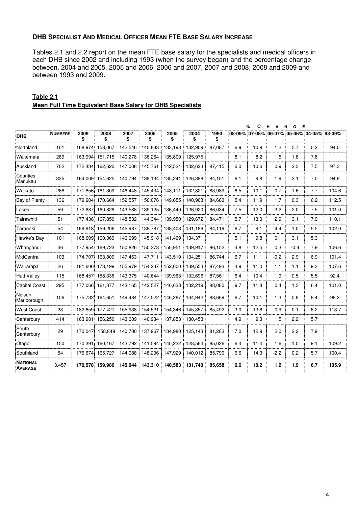# **DHB SPECIALIST AND MEDICAL OFFICER MEAN FTE BASE SALARY INCREASE**

Tables 2.1 and 2.2 report on the mean FTE base salary for the specialists and medical officers in each DHB since 2002 and including 1993 (when the survey began) and the percentage change between, 2004 and 2005, 2005 and 2006, 2006 and 2007, 2007 and 2008; 2008 and 2009 and between 1993 and 2009.

|                                   |                |            |                 |            |            |            |            |            |     | %<br>С | н<br>А<br><b>N</b> | G<br>Е |                                           |       |
|-----------------------------------|----------------|------------|-----------------|------------|------------|------------|------------|------------|-----|--------|--------------------|--------|-------------------------------------------|-------|
| <b>DHB</b>                        | <b>NUMBERS</b> | 2009<br>\$ | 2008<br>\$      | 2007<br>\$ | 2006<br>\$ | 2005<br>\$ | 2004<br>\$ | 1993<br>\$ |     |        |                    |        | 08-09% 07-08% 06-07% 05-06% 04-05% 93-09% |       |
| Northland                         | 101            | 168,974    | 158,067         | 142,546    | 140,833    | 133,198    | 132,909    | 87,087     | 6.9 | 10.9   | 1.2                | 5.7    | 0.2                                       | 94.0  |
| Waitemata                         | 289            | 163.994    | 151,715         | 140,278    | 138,264    | 135,809    | 125,975    |            | 8.1 | 8.2    | 1.5                | 1.8    | 7.8                                       |       |
| Auckland                          | 702            | 172,434    | 162,620         | 147,008    | 145,761    | 142,524    | 132,623    | 87,415     | 6.0 | 10.6   | 0.9                | 2.3    | 7.5                                       | 97.3  |
| Counties<br>Manukau               | 335            |            | 164.009 154.625 | 140.794    | 138,134    | 135,241    | 126,388    | 84,151     | 6.1 | 9.8    | 1.9                | 2.1    | 7.0                                       | 94.9  |
| Waikato                           | 268            |            | 171,856 161,309 | 146,448    | 145,434    | 143,111    | 132,821    | 83,989     | 6.5 | 10.1   | 0.7                | 1.6    | 7.7                                       | 104.6 |
| Bay of Plenty                     | 136            | 179.904    | 170.664         | 152,557    | 150,076    | 149,655    | 140,963    | 84,663     | 5.4 | 11.9   | 1.7                | 0.3    | 6.2                                       | 112.5 |
| Lakes                             | 59             | 172.887    | 160,828         | 143,588    | 139,125    | 136,440    | 126,920    | 86,034     | 7.5 | 12.0   | 3.2                | 2.0    | 7.5                                       | 101.0 |
| Tairawhiti                        | 51             | 177.436    | 167.850         | 148.532    | 144.344    | 139.950    | 129.672    | 84,471     | 5.7 | 13.0   | 2.9                | 3.1    | 7.9                                       | 110.1 |
| Taranaki                          | 54             | 169.918    | 159.206         | 145.987    | 139,787    | 138,408    | 131,186    | 84,119     | 6.7 | 9.1    | 4.4                | 1.0    | 5.5                                       | 102.0 |
| Hawke's Bay                       | 101            | 168.609    | 160.369         | 146.099    | 145,918    | 141.469    | 134,371    |            | 5.1 | 9.8    | 0.1                | 3.1    | 5.3                                       |       |
| Whanganui                         | 46             | 177,954    | 169,723         | 150,826    | 150,378    | 150,951    | 139,917    | 86,152     | 4.8 | 12.5   | 0.3                | $-0.4$ | 7.9                                       | 106.6 |
| MidCentral                        | 103            | 174,707    | 163,809         | 147,463    | 147,711    | 143,519    | 134,251    | 86,744     | 6.7 | 11.1   | $-0.2$             | 2.9    | 6.9                                       | 101.4 |
| Wairarapa                         | 26             | 181.606    | 173,199         | 155,979    | 154,237    | 152,600    | 139,553    | 87,493     | 4.9 | 11.0   | 1.1                | 1.1    | 9.3                                       | 107.6 |
| <b>Hutt Valley</b>                | 115            | 168,457    | 158,336         | 143,375    | 140,644    | 139,963    | 132,696    | 87,561     | 6.4 | 10.4   | 1.9                | 0.5    | 5.5                                       | 92.4  |
| Capital Coast                     | 295            | 177,066    | 161,377         | 143,165    | 142,527    | 140,638    | 132,219    | 88,080     | 9.7 | 11.8   | 0.4                | 1.3    | 6.4                                       | 101.0 |
| Nelson<br>Marlborough             | 106            | 175,732    | 164,651         | 149,484    | 147,522    | 146,287    | 134,942    | 88,669     | 6.7 | 10.1   | 1.3                | 0.8    | 8.4                                       | 98.2  |
| <b>West Coast</b>                 | 23             |            | 182,659 177,421 | 155,938    | 154,521    | 154,346    | 145,357    | 85,492     | 3.0 | 13.8   | 0.9                | 0.1    | 6.2                                       | 113.7 |
| Canterbury                        | 414            | 163,981    | 156,250         | 143,009    | 140,934    | 137,853    | 130,453    |            | 4.9 | 9.3    | 1.5                | 2.2    | 5.7                                       |       |
| South<br>Canterbury               | 29             | 170.047    | 158.849         | 140,700    | 137,967    | 134,980    | 125,143    | 81,283     | 7.0 | 12.9   | 2.0                | 2.2    | 7.9                                       |       |
| Otago                             | 150            | 170,391    | 160,167         | 143,792    | 141,594    | 140,232    | 128,564    | 85,026     | 6.4 | 11.4   | 1.6                | 1.0    | 9.1                                       | 109.2 |
| Southland                         | 54             | 176,674    | 165,727         | 144,988    | 148,296    | 147,929    | 140,012    | 85,790     | 6.6 | 14.3   | $-2.2$             | 0.2    | 5.7                                       | 100.4 |
| <b>NATIONAL</b><br><b>AVERAGE</b> | 3,457          |            | 170,578 159,986 | 145,044    | 143,310    | 140,583    | 131,740    | 85,658     | 6.6 | 10.2   | $1.2$              | 1.9    | 6.7                                       | 105.9 |

# **Table 2.1 Mean Full Time Equivalent Base Salary for DHB Specialists**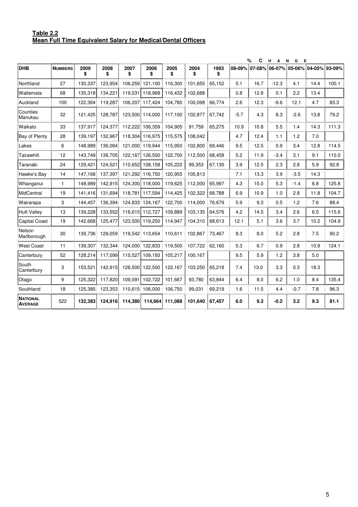#### **Table 2.2 Mean Full Time Equivalent Salary for Medical/Dental Officers**

|                       |                |            |                 |                 |                         |            |            |            |        | %<br>C | H<br>$\overline{A}$                       | N<br>G<br>E |      |       |
|-----------------------|----------------|------------|-----------------|-----------------|-------------------------|------------|------------|------------|--------|--------|-------------------------------------------|-------------|------|-------|
| <b>DHB</b>            | <b>NUMBERS</b> | 2009<br>\$ | 2008<br>\$      | 2007<br>\$      | 2006<br>\$              | 2005<br>\$ | 2004<br>\$ | 1993<br>\$ |        |        | 08-09% 07-08% 06-07% 05-06% 04-05% 93-09% |             |      |       |
| Northland             | 27             | 130,337    | 123,954         | 106,259         | 121,100                 | 116,300    | 101,655    | 65,152     | 5.1    | 16.7   | $-12.3$                                   | 4.1         | 14.4 | 100.1 |
| Waitemata             | 68             | 135,318    | 134,221         |                 | 119,031 118,968         | 116,432    | 102,688    |            | 0.8    | 12.8   | 0.1                                       | 2.2         | 13.4 |       |
| Auckland              | 100            | 122,364    | 119,287         |                 | 106,207 117,424         | 104,780    | 100,098    | 66,774     | 2.6    | 12.3   | $-9.6$                                    | 12.1        | 4.7  | 83.3  |
| Counties<br>Manukau   | 32             | 121,425    | 128,787         |                 | 123,500 114,000         | 117,100    | 102,877    | 67,742     | $-5.7$ | 4.3    | 8.3                                       | $-2.6$      | 13.8 | 79.2  |
| Waikato               | 33             | 137,917    | 124,377         |                 | 112,222 106,359         | 104,905    | 91,759     | 65,275     | 10.9   | 10.8   | 5.5                                       | 1.4         | 14.3 | 111.3 |
| <b>Bay of Plenty</b>  | 28             | 139,197    | 132,967         | 118,304         | 116,975                 | 115,575    | 108,042    |            | 4.7    | 12.4   | 1.1                                       | 1.2         | 7.0  |       |
| Lakes                 | 6              | 148,989    | 136,084         |                 | 121,000 119,944         | 115,950    | 102,800    | 69.446     | 9.5    | 12.5   | 0.9                                       | 3.4         | 12.8 | 114.5 |
| Tairawhiti            | 12             | 143,749    | 136,705         | 122,167         | 126,500                 | 122,700    | 112,500    | 68,458     | 5.2    | 11.9   | $-3.4$                                    | 3.1         | 9.1  | 110.0 |
| Taranaki              | 24             | 129,421    | 124,521         |                 | 110.652 108,158         | 105,222    | 99,353     | 67,130     | 3.9    | 12.5   | 2.3                                       | 2.8         | 5.9  | 92.8  |
| Hawke's Bay           | 14             | 147,168    | 137,397         |                 | 121,292 116,750         | 120,955    | 105,813    |            | 7.1    | 13.3   | 3.9                                       | $-3.5$      | 14.3 |       |
| Whanganui             | $\mathbf{1}$   | 148.989    | 142,915         |                 | 124,300 118,000         | 119,625    | 112,000    | 65,997     | 4.3    | 15.0   | 5.3                                       | $-1.4$      | 6.8  | 125.8 |
| MidCentral            | 19             | 141,416    | 131.694         | 118.781         | 117,594                 | 114,425    | 102,322    | 68,788     | 6.9    | 10.9   | 1.0                                       | 2.8         | 11.8 | 104.7 |
| Wairarapa             | 3              | 144.457    | 136,394         |                 | 124,833 124,167         | 122,700    | 114,000    | 76,679     | 5.9    | 9.3    | 0.5                                       | 1.2         | 7.6  | 88.4  |
| Hutt Valley           | 13             | 139,228    | 133,552         |                 | 116,615 112,727         | 109,889    | 103,135    | 64,576     | 4.2    | 14.5   | 3.4                                       | 2.6         | 6.5  | 115.6 |
| Capital Coast         | 19             | 142,668    | 125,477         |                 | 123,500 119,250         | 114,947    | 104,310    | 68,613     | 12.1   | 5.1    | 3.6                                       | 3.7         | 10.2 | 104.9 |
| Nelson<br>Marlborough | 30             |            | 139,736 129,059 | 119,542 113,654 |                         | 110,611    | 102,867    | 73,467     | 8.3    | 8.0    | 5.2                                       | 2.8         | 7.5  | 90.2  |
| <b>West Coast</b>     | 11             | 139,307    | 132.344         |                 | 124,000 122,833         | 119,500    | 107,722    | 62,160     | 5.3    | 6.7    | 0.9                                       | 2.8         | 10.9 | 124.1 |
| Canterbury            | 52             | 128.214    | 117,099         | 110,527         | 109,193                 | 105,217    | 100,167    |            | 9.5    | 5.9    | 1.2                                       | 3.8         | 5.0  |       |
| South<br>Canterbury   | 3              | 153,521    | 142,915         |                 | 126,500 122,500         | 122,167    | 103,250    | 65,218     | 7.4    | 13.0   | 3.3                                       | 0.3         | 18.3 |       |
| Otago                 | 9              | 125,322    | 117,820         |                 | 109,091 102,722         | 101,667    | 93,780     | 63,844     | 6.4    | 8.0    | 6.2                                       | 1.0         | 8.4  | 135.4 |
| Southland             | 18             | 125,385    | 123,353         |                 | 110,615 106,000         | 106,750    | 99,031     | 69,219     | 1.6    | 11.5   | 4.4                                       | $-0.7$      | 7.8  | 96.3  |
| NATIONAL<br>AVERAGE   | 522            | 132,383    | 124,916         |                 | 114,380 114,664 111,088 |            | 101,640    | 67,457     | 6.0    | 9.3    | $-0.2$                                    | 3.2         | 9.3  | 81.1  |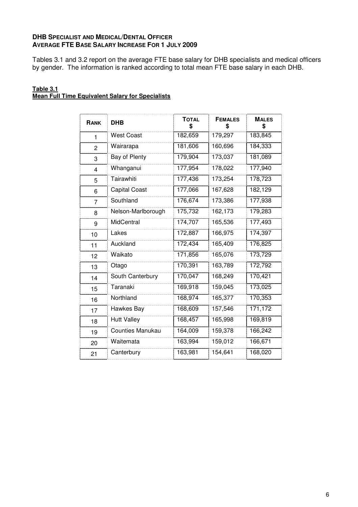# **DHB SPECIALIST AND MEDICAL/DENTAL OFFICER AVERAGE FTE BASE SALARY INCREASE FOR 1 JULY 2009**

Tables 3.1 and 3.2 report on the average FTE base salary for DHB specialists and medical officers by gender. The information is ranked according to total mean FTE base salary in each DHB.

#### **Table 3.1 Mean Full Time Equivalent Salary for Specialists**

| RANK           | <b>DHB</b>              | <b>TOTAL</b> | <b>FEMALES</b> | <b>MALES</b> |
|----------------|-------------------------|--------------|----------------|--------------|
|                |                         | \$           | \$             | \$           |
| 1              | <b>West Coast</b>       | 182,659      | 179,297        | 183,845      |
| $\overline{2}$ | Wairarapa               | 181,606      | 160,696        | 184,333      |
| 3              | Bay of Plenty           | 179,904      | 173,037        | 181,089      |
| 4              | Whanganui               | 177,954      | 178,022        | 177,940      |
| 5              | Tairawhiti              | 177,436      | 173,254        | 178,723      |
| 6              | <b>Capital Coast</b>    | 177,066      | 167,628        | 182,129      |
| 7              | Southland               | 176,674      | 173,386        | 177,938      |
| 8              | Nelson-Marlborough      | 175,732      | 162,173        | 179,283      |
| 9              | MidCentral              | 174,707      | 165,536        | 177,493      |
| 10             | Lakes                   | 172,887      | 166,975        | 174,397      |
| 11             | Auckland                | 172,434      | 165,409        | 176,825      |
| 12             | Waikato                 | 171,856      | 165,076        | 173,729      |
| 13             | Otago                   | 170,391      | 163,789        | 172,792      |
| 14             | South Canterbury        | 170,047      | 168,249        | 170,421      |
| 15             | Taranaki                | 169,918      | 159,045        | 173,025      |
| 16             | Northland               | 168,974      | 165,377        | 170,353      |
| 17             | Hawkes Bay              | 168,609      | 157,546        | 171,172      |
| 18             | <b>Hutt Valley</b>      | 168,457      | 165,998        | 169,819      |
| 19             | <b>Counties Manukau</b> | 164,009      | 159,378        | 166,242      |
| 20             | Waitemata               | 163,994      | 159,012        | 166,671      |
| 21             | Canterbury              | 163,981      | 154,641        | 168,020      |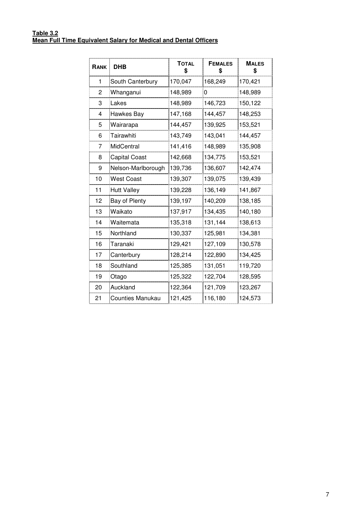#### **Table 3.2 Mean Full Time Equivalent Salary for Medical and Dental Officers**

| RANK | <b>DHB</b>              | <b>TOTAL</b><br>\$ | <b>FEMALES</b><br>\$ | <b>MALES</b><br>\$ |
|------|-------------------------|--------------------|----------------------|--------------------|
| 1    | South Canterbury        | 170,047            | 168,249              | 170,421            |
| 2    | Whanganui               | 148,989            | 0                    | 148,989            |
| 3    | Lakes                   | 148,989            | 146,723              | 150,122            |
| 4    | Hawkes Bay              | 147,168            | 144,457              | 148,253            |
| 5    | Wairarapa               | 144,457            | 139,925              | 153,521            |
| 6    | Tairawhiti              | 143,749            | 143,041              | 144,457            |
| 7    | MidCentral              | 141,416            | 148,989              | 135,908            |
| 8    | <b>Capital Coast</b>    | 142,668            | 134,775              | 153,521            |
| 9    | Nelson-Marlborough      | 139,736            | 136,607              | 142,474            |
| 10   | West Coast              | 139,307            | 139,075              | 139,439            |
| 11   | <b>Hutt Valley</b>      | 139,228            | 136,149              | 141,867            |
| 12   | Bay of Plenty           | 139,197            | 140,209              | 138,185            |
| 13   | Waikato                 | 137,917            | 134,435              | 140,180            |
| 14   | Waitemata               | 135,318            | 131,144              | 138,613            |
| 15   | Northland               | 130,337            | 125,981              | 134,381            |
| 16   | Taranaki                | 129,421            | 127,109              | 130,578            |
| 17   | Canterbury              | 128,214            | 122,890              | 134,425            |
| 18   | Southland               | 125,385            | 131,051              | 119,720            |
| 19   | Otago                   | 125,322            | 122,704              | 128,595            |
| 20   | Auckland                | 122,364            | 121,709              | 123,267            |
| 21   | <b>Counties Manukau</b> | 121,425            | 116,180              | 124,573            |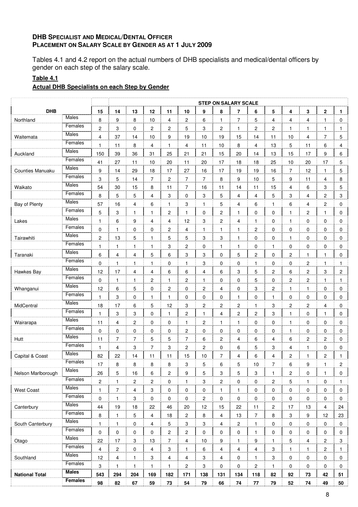# **DHB SPECIALIST AND MEDICAL/DENTAL OFFICER PLACEMENT ON SALARY SCALE BY GENDER AS AT 1 JULY 2009**

Tables 4.1 and 4.2 report on the actual numbers of DHB specialists and medical/dental officers by gender on each step of the salary scale.

# **Table 4.1**

# **Actual DHB Specialists on each Step by Gender**

|                       |                |                         |                |                           |              |                |                         |                         |                         | <b>STEP ON SALARY SCALE</b> |                         |                |              |                         |                         |              |
|-----------------------|----------------|-------------------------|----------------|---------------------------|--------------|----------------|-------------------------|-------------------------|-------------------------|-----------------------------|-------------------------|----------------|--------------|-------------------------|-------------------------|--------------|
| <b>DHB</b>            |                | 15                      | 14             | 13                        | 12           | 11             | 10                      | 9                       | 8                       | $\overline{7}$              | 6                       | 5              | 4            | 3                       | $\mathbf 2$             | 1            |
| Northland             | Males          | 8                       | 9              | 8                         | 10           | 4              | $\mathbf{2}$            | 6                       | $\mathbf{1}$            | 7                           | 5                       | 4              | 4            | 4                       | 1                       | 0            |
|                       | Females        | 2                       | 3              | 0                         | 2            | 2              | 5                       | 3                       | $\overline{2}$          | 1                           | $\overline{c}$          | $\overline{2}$ | 1            | 1                       | 1                       | 1            |
| Waitemata             | Males          | $\overline{4}$          | 37             | 14                        | 10           | 9              | 19                      | 10                      | 19                      | 15                          | 14                      | 11             | 10           | 4                       | $\overline{7}$          | 5            |
|                       | Females        | $\mathbf{1}$            | 11             | 8                         | 4            | $\mathbf{1}$   | 4                       | 11                      | 10                      | 8                           | 4                       | 13             | 5            | 11                      | 6                       | 4            |
| Auckland              | <b>Males</b>   | 150                     | 39             | 36                        | 31           | 25             | 21                      | 21                      | 15                      | 20                          | 14                      | 13             | 15           | 17                      | 9                       | 6            |
|                       | Females        | 41                      | 27             | 11                        | 10           | 20             | 11                      | 20                      | 17                      | 18                          | 18                      | 25             | 10           | 20                      | 17                      | 5            |
| Counties Manuaku      | Males          | 9                       | 14             | 29                        | 18           | 17             | 27                      | 16                      | 17                      | 19                          | 19                      | 16             | 7            | 12                      | 1                       | 5            |
|                       | Females        | 3                       | 5              | 14                        | 7            | 2              | $\overline{7}$          | $\overline{7}$          | 8                       | 9                           | 10                      | 5              | 9            | 11                      | 4                       | 8            |
| Waikato               | Males          | 54                      | 30             | 15                        | 8            | 11             | $\overline{7}$          | 16                      | 11                      | 14                          | 11                      | 15             | 4            | 6                       | 3                       | 5            |
|                       | Females        | 8                       | 5              | 5                         | 4            | 3              | 0                       | 3                       | 5                       | 4                           | 4                       | 5              | 3            | $\overline{4}$          | 2                       | 3            |
| Bay of Plenty         | <b>Males</b>   | 57                      | 16             | 4                         | 6            | 1              | 3                       | 1                       | $\mathbf 5$             | 4                           | 6                       | 1              | 6            | 4                       | $\overline{\mathbf{c}}$ | 0            |
|                       | Females        | 5                       | 3              | $\mathbf{1}$              | $\mathbf{1}$ | $\mathbf{2}$   | $\mathbf{1}$            | 0                       | $\overline{c}$          | $\mathbf{1}$                | $\mathbf 0$             | 0              | $\mathbf{1}$ | $\overline{c}$          | $\mathbf{1}$            | 0            |
|                       | Males          | $\mathbf{1}$            | 6              | 9                         | 4            |                |                         | 3                       |                         | 4                           | $\mathbf{1}$            | 0              | 1            | 0                       | 0                       | 0            |
| Lakes                 | Females        |                         |                |                           |              | 4              | 12                      |                         | $\boldsymbol{2}$        |                             |                         |                |              |                         |                         |              |
|                       | Males          | $\mathbf 0$             | 1              | 0                         | 0            | $\overline{c}$ | 4                       | 1                       | $\mathbf{1}$            | 1                           | 2                       | 0              | 0            | 0                       | 0                       | 0            |
| Tairawhiti            | Females        | $\overline{c}$          | 13             | 5                         | $\mathbf{1}$ | 5              | 5                       | 3                       | 3                       | $\mathbf{1}$                | 0                       | 0              | $\mathbf{1}$ | 0                       | $\mathbf 0$             | 0            |
|                       | <b>Males</b>   | $\mathbf{1}$            | 1              | 1                         | 1            | 3              | 2                       | 0                       | $\mathbf{1}$            | 1                           | 0                       | 1              | 0            | 0                       | 0                       | 0            |
| Taranaki              | Females        | 6                       | 4              | 4                         | 5            | 6              | 3                       | 3                       | 0                       | 5                           | $\overline{2}$          | 0              | 2            | 1                       | 1                       | 0            |
|                       | Males          | $\mathbf 0$             | $\mathbf{1}$   | $\mathbf{1}$              | $\mathbf{1}$ | 0              | $\mathbf{1}$            | 3                       | 0                       | 0                           | $\mathbf{1}$            | 0              | 0            | $\overline{c}$          | $\mathbf{1}$            | $\mathbf{1}$ |
| Hawkes Bay            | Females        | 12                      | 17             | 4                         | 4            | 6              | 6                       | 4                       | 6                       | 3                           | 5                       | 2              | 6            | $\overline{\mathbf{c}}$ | 3                       | 2            |
|                       | Males          | $\mathbf 0$             | 1              | 1                         | 2            | 1              | 2                       | $\mathbf{1}$            | 0                       | 0                           | $\overline{5}$          | 0              | 2            | $\overline{c}$          | $\mathbf{1}$            | 1            |
| Whanganui             | Females        | 12                      | 6              | 5                         | 0            | $\overline{c}$ | $\mathbf 0$             | $\overline{\mathbf{c}}$ | $\overline{\mathbf{4}}$ | 0                           | 3                       | $\overline{c}$ | $\mathbf{1}$ | 1                       | $\mathbf 0$             | 0            |
|                       | <b>Males</b>   | $\mathbf{1}$            | 3              | 0                         | 1            | $\mathbf{1}$   | $\mathbf 0$             | 0                       | 0                       | $\mathbf{1}$                | 0                       | 1              | 0            | 0                       | $\mathbf 0$             | 0            |
| MidCentral            | Females        | 18                      | 17             | 6                         | 5            | 12             | 3                       | 2                       | $\sqrt{2}$              | $\overline{c}$              | 1                       | 3              | 2            | 2                       | 4                       | 0            |
|                       |                | $\mathbf{1}$            | 3              | 3                         | 0            | $\mathbf{1}$   | $\overline{c}$          | $\mathbf{1}$            | $\overline{\mathbf{4}}$ | $\overline{\mathbf{c}}$     | 2                       | 3              | $\mathbf{1}$ | 0                       | $\mathbf{1}$            | 0            |
| Wairarapa             | Males          | 11                      | 4              | $\overline{c}$            | 0            | 0              | 1                       | $\overline{c}$          | $\mathbf{1}$            | 1                           | 0                       | 0              | 1            | 0                       | 0                       | 0            |
|                       | Females        | $\mathbf 0$             | 0              | 0                         | 0            | 0              | $\overline{\mathbf{c}}$ | 0                       | 0                       | 0                           | 0                       | 0              | 1            | 0                       | 0                       | 0            |
| Hutt                  | Males          | 11                      | $\overline{7}$ | $\overline{7}$            | 5            | 5              | $\overline{7}$          | 6                       | $\boldsymbol{2}$        | 4                           | 6                       | 4              | 6            | $\overline{c}$          | $\overline{c}$          | $\mathbf 0$  |
|                       | Females        | 1                       | 4              | 3                         | 7            | 3              | $\overline{c}$          | 2                       | 0                       | 6                           | 5                       | 3              | 4            | $\mathbf{1}$            | 0                       | 0            |
| Capital & Coast       | <b>Males</b>   | 82                      | 22             | 14                        | 11           | 11             | 15                      | 10                      | $\overline{7}$          | 4                           | 6                       | 4              | 2            | 1                       | 2                       | 1            |
|                       | Females        | 17                      | 8              | 8                         | 8            | 8              | 3                       | 5                       | 6                       | 5                           | $10$                    | $\overline{7}$ | 6            | 9                       | 1                       | 2            |
| Nelson Marlborough    | Males          | 26                      | 5              | 16                        | 6            | 2              | 9                       | 5                       | 3                       | 5                           | 3                       | 1              | 2            | 0                       | $\mathbf{1}$            | 0            |
|                       | Females        | $\overline{\mathbf{c}}$ | 1              | $\overline{\mathbf{c}}$   | 2            | 0              | 1                       | 3                       | 2                       | 0                           | 0                       | 2              | 5            | $\mathbf{1}$            | 0                       | $\mathbf{1}$ |
| <b>West Coast</b>     | Males          | 1                       | $\overline{7}$ | $\overline{4}$            | 3            | 0              | $\mathbf 0$             | 0                       | $\mathbf{1}$            | $\mathbf{1}$                | 0                       | 0              | 0            | 0                       | $\mathbf 0$             | 0            |
|                       | Females        | 0                       | $\mathbf{1}$   | 3                         | 0            | 0              | 0                       | 2                       | 0                       | 0                           | 0                       | 0              | $\mathbf 0$  | 0                       | 0                       | 0            |
| Canterbury            | Males          | 44                      | 19             | 18                        | 22           | 46             | 20                      | 12                      | 15                      | 22                          | 11                      | $\overline{c}$ | 17           | 13                      | 4                       | 24           |
|                       | Females        | 8                       | $\mathbf{1}$   | 5                         | 4            | 18             | $\overline{c}$          | 8                       | 4                       | 13                          | $\overline{7}$          | 8              | 3            | 9                       | 12                      | 23           |
| South Canterbury      | Males          | $\mathbf{1}$            | $\mathbf{1}$   | 0                         | 4            | 5              | 3                       | 3                       | $\overline{\mathbf{4}}$ | 2                           | $\mathbf{1}$            | 0              | 0            | 0                       | 0                       | 0            |
|                       | Females        | 0                       | $\pmb{0}$      | 0                         | 0            | $\overline{c}$ | $\overline{\mathbf{c}}$ | 0                       | 0                       | 0                           | $\mathbf{1}$            | 0              | 0            | 0                       | 0                       | 0            |
| Otago                 | Males          | 22                      | 17             | $\ensuremath{\mathsf{3}}$ | 13           | $\overline{7}$ | $\overline{4}$          | $10$                    | 9                       | 1                           | 9                       | $\mathbf{1}$   | 5            | 4                       | $\overline{\mathbf{c}}$ | 3            |
|                       | Females        | $\overline{4}$          | $\overline{c}$ | 0                         | 4            | 3              | $\mathbf{1}$            | 6                       | $\overline{\mathbf{4}}$ | 4                           | 4                       | 3              | $\mathbf{1}$ | 1                       | $\overline{\mathbf{c}}$ | $\mathbf{1}$ |
| Southland             | Males          | 12                      | 4              | $\mathbf{1}$              | 3            | 4              | 4                       | 3                       | 4                       | 0                           | 1                       | 3              | 0            | 0                       | 0                       | 0            |
|                       | Females        | 3                       | $\mathbf{1}$   | $\mathbf{1}$              | 1            | $\mathbf{1}$   | $\overline{c}$          | 3                       | 0                       | $\pmb{0}$                   | $\overline{\mathbf{c}}$ | $\mathbf{1}$   | 0            | 0                       | $\mathbf 0$             | 0            |
| <b>National Total</b> | <b>Males</b>   | 543                     | 294            | 204                       | 169          | 182            | 171                     | 138                     | 131                     | 134                         | 118                     | 82             | 92           | 73                      | 42                      | 51           |
|                       | <b>Females</b> | 98                      | 82             | 67                        | 59           | 73             | 54                      | 79                      | 66                      | 74                          | 77                      | 79             | 52           | 74                      | 49                      | 50           |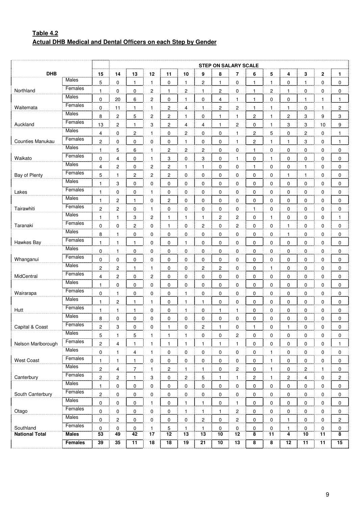# **Table 4.2 Actual DHB Medical and Dental Officers on each Step by Gender**

|                         |              |                |                         |                  |                |                 |                  |                             | <b>STEP ON SALARY SCALE</b> |                |                         |                 |                |                         |              |                  |
|-------------------------|--------------|----------------|-------------------------|------------------|----------------|-----------------|------------------|-----------------------------|-----------------------------|----------------|-------------------------|-----------------|----------------|-------------------------|--------------|------------------|
| <b>DHB</b>              |              | 15             | 14                      | 13               | 12             | 11              | 10               | 9                           | 8                           | 7              | 6                       | 5               | 4              | 3                       | $\mathbf 2$  | $\mathbf{1}$     |
|                         | Males        | 5              | $\mathbf 0$             | $\mathbf{1}$     | $\mathbf{1}$   | 0               | 1                | $\overline{c}$              | $\mathbf{1}$                | 0              | 1                       | 1               | 0              | $\mathbf{1}$            | 0            | 0                |
| Northland               | Females      | $\mathbf{1}$   | 0                       | 0                | $\overline{2}$ | 1               | 2                | $\mathbf{1}$                | 2                           | 0              | 1                       | 2               | 1              | 0                       | 0            | 0                |
|                         | Males        | $\mathbf 0$    | 20                      | 6                | 2              | 0               | $\mathbf{1}$     | $\pmb{0}$                   | 4                           | 1              | $\mathbf{1}$            | 0               | 0              | $\mathbf{1}$            | $\mathbf{1}$ | $\mathbf{1}$     |
| Waitemata               | Females      | 0              | 11                      | 1                | 1              | 2               | 4                | $\mathbf{1}$                | 2                           | 2              | 1                       | 1               | 1              | 0                       | 1            | $\overline{c}$   |
|                         | Males        | 8              | $\overline{c}$          | 5                | 2              | 2               | 1                | $\pmb{0}$                   | 1                           | 1              | 2                       | 1               | 2              | 3                       | 9            | 3                |
| Auckland                | Females      | 13             | $\overline{c}$          | 1                | 3              | 2               | 4                | 4                           | $\mathbf{1}$                | $\overline{c}$ | 0                       | 1               | 3              | 3                       | 10           | 9                |
|                         | Males        | 4              | 0                       | $\overline{c}$   | 1              | 0               | 2                | $\pmb{0}$                   | $\mathbf 0$                 | $\mathbf{1}$   | 2                       | 5               | 0              | $\overline{c}$          | 0            | $\mathbf{1}$     |
| <b>Counties Manukau</b> | Females      | 2              | 0                       | 0                | 0              | 0               | 1                | 0                           | $\mathbf 0$                 | 1              | 2                       | 1               | 1              | 3                       | 0            | $\mathbf{1}$     |
|                         | Males        | $\mathbf{1}$   | 5                       | 6                | 1              | 2               | $\boldsymbol{2}$ | $\overline{2}$              | $\pmb{0}$                   | 0              | 1                       | 0               | 0              | 0                       | 0            | $\mathbf 0$      |
| Waikato                 | Females      | 0              | 4                       | 0                | 1              | 3               | 0                | 3                           | $\mathbf 0$                 | $\mathbf{1}$   | 0                       | 1               | 0              | 0                       | 0            | 0                |
|                         | Males        | 4              | $\overline{c}$          | 0                | 2              | 2               | 1                | $\mathbf{1}$                | $\pmb{0}$                   | 0              | 1                       | 0               | 0              | 1                       | 0            | $\mathbf 0$      |
| Bay of Plenty           | Females      | 5              | $\mathbf{1}$            | $\overline{c}$   | 2              | 2               | 0                |                             | 0                           | 0              | 0                       | 0               | 1              | 1                       | 0            | 0                |
|                         | Males        | 1              | 3                       | 0                |                | 0               | 0                | $\overline{0}$<br>$\pmb{0}$ | $\mathbf 0$                 | 0              | 0                       | 0               | 0              | 0                       | 0            | 0                |
| Lakes                   | Females      |                |                         |                  | 0              |                 |                  |                             |                             |                |                         |                 |                |                         |              |                  |
|                         | Males        | $\mathbf{1}$   | 0                       | $\mathbf 0$      | 1              | 0               | 0                | $\overline{0}$              | $\mathbf 0$                 | 0              | 0                       | 0               | 0              | 0                       | 0            | $\mathbf 0$      |
|                         | Females      | $\mathbf{1}$   | $\overline{c}$          | 1                | 0              | $\overline{c}$  | 0                | $\pmb{0}$                   | $\pmb{0}$                   | 0              | 0                       | 0               | 0              | 0                       | 0            | $\mathbf 0$      |
| Tairawhiti              | Males        | $\overline{c}$ | $\overline{c}$          | 0                | 1              | 0               | 0                | $\pmb{0}$                   | $\mathbf 0$                 | 0              | 1                       | 0               | 0              | 0                       | 0            | 0                |
|                         | Females      | $\mathbf{1}$   | 1                       | 3                | 2              | 1               | 1                | 1                           | 2                           | 2              | 0                       | 1               | 0              | 0                       | 0            | $\mathbf{1}$     |
| Taranaki                | Males        | $\mathbf 0$    | 0                       | $\overline{c}$   | 0              | 1               | 0                | $\overline{2}$              | $\mathbf 0$                 | 2              | 0                       | 0               | 1              | 0                       | 0            | $\mathbf 0$      |
|                         | Females      | 8              | $\mathbf{1}$            | 0                | $\overline{0}$ | 0               | 0                | $\pmb{0}$                   | $\mathbf 0$                 | 0              | 0                       | 0               | 1              | 0                       | 0            | 0                |
| Hawkes Bay              | Males        | $\mathbf{1}$   | 1                       | 1                | 0              | 0               | 1                | $\pmb{0}$                   | $\mathbf 0$                 | 0              | 0                       | 0               | 0              | $\mathbf 0$             | 0            | $\mathbf 0$      |
|                         | Females      | $\mathbf 0$    | $\mathbf{1}$            | 0                | 0              | 0               | 0                | $\overline{0}$              | $\pmb{0}$                   | 0              | 0                       | 0               | 0              | 0                       | 0            | $\mathbf 0$      |
| Whanganui               | Males        | 0              | 0                       | 0                | 0              | 0               | 0                | $\pmb{0}$                   | $\mathbf 0$                 | 0              | 0                       | 0               | 0              | 0                       | 0            | $\mathbf 0$      |
|                         |              | $\overline{c}$ | $\overline{\mathbf{c}}$ | 1                | 1              | 0               | 0                | 2                           | 2                           | 0              | 0                       | 1               | 0              | 0                       | 0            | 0                |
| MidCentral              | Females      | 4              | $\overline{\mathbf{c}}$ | 0                | $\overline{c}$ | 0               | 0                | $\overline{0}$              | $\pmb{0}$                   | 0              | 0                       | 0               | 0              | 0                       | 0            | $\mathbf 0$      |
|                         | Males        | 1              | 0                       | 0                | 0              | 0               | 0                | $\pmb{0}$                   | 0                           | 0              | 0                       | 0               | 0              | 0                       | 0            | 0                |
| Wairarapa               | Females      | $\mathbf 0$    | 1                       | 0                | 0              | 0               | 1                | $\pmb{0}$                   | $\pmb{0}$                   | 0              | 0                       | 0               | 0              | 0                       | 0            | $\mathbf 0$      |
|                         | Males        | $\mathbf{1}$   | $\overline{c}$          | $\mathbf{1}$     | 1              | 0               | 1                | $\mathbf{1}$                | $\mathbf 0$                 | 0              | 0                       | 0               | 0              | 0                       | 0            | $\mathbf 0$      |
| Hutt                    | Females      | $\mathbf{1}$   | $\mathbf{1}$            | $\mathbf{1}$     | 0              | 0               | 1                | 0                           | $\mathbf{1}$                | $\mathbf{1}$   | 0                       | 0               | 0              | 0                       | 0            | 0                |
|                         | Males        | 8              | 0                       | 0                | 0              | 0               | 0                | 0                           | $\mathbf 0$                 | 0              | 0                       | 0               | 0              | 0                       | 0            | $\mathbf 0$      |
| Capital & Coast         | Females      | $\overline{c}$ | 3                       | 0                | 0              | 1               | 0                | $\overline{c}$              | $\mathbf{1}$                | 0              | 1                       | 0               | 1              | 0                       | 0            | 0                |
|                         | Males        | 5              | $\mathbf{1}$            | 5                | $\mathbf{1}$   | $\mathbf{1}$    | $\mathbf{1}$     | $\pmb{0}$                   | 0                           | 2              | 0                       | 0               | 0              | 0                       | 0            | 0                |
| Nelson Marlborough      | Females      | $\overline{c}$ | 4                       | 1                | 1              | $\mathbf{1}$    | 1                | 1                           | $\mathbf{1}$                | 1              | 0                       | 0               | 0              | 0                       | $\mathbf 0$  | $\mathbf{1}$     |
|                         | <b>Males</b> | $\pmb{0}$      | $\mathbf{1}$            | 4                | $\mathbf{1}$   | 0               | 0                | $\overline{0}$              | $\pmb{0}$                   | 0              | 0                       | 1               | 0              | 0                       | 0            | 0                |
| <b>West Coast</b>       | Females      | $\mathbf{1}$   | $\mathbf{1}$            | $\mathbf{1}$     | 0              | 0               | 0                | $\pmb{0}$                   | 0                           | 0              | 0                       | 1               | 0              | 0                       | $\mathbf 0$  | 0                |
|                         | Males        | $\overline{c}$ | $\overline{\mathbf{4}}$ | $\boldsymbol{7}$ | 1              | 2               | 1                | $\overline{1}$              | $\pmb{0}$                   | 2              | 0                       | 1               | 0              | $\overline{\mathbf{c}}$ | $\mathbf{1}$ | $\pmb{0}$        |
| Canterbury              | Females      | $\mathbf{2}$   | $\sqrt{2}$              | $\mathbf{1}$     | 3              | 0               | $\overline{2}$   | 5                           | $\mathbf{1}$                | 1              | $\overline{2}$          | $\mathbf{1}$    | $\overline{2}$ | $\overline{4}$          | 0            | $\boldsymbol{2}$ |
|                         | Males        | $\mathbf{1}$   | 0                       | $\mathbf 0$      | 0              | 0               | 0                | $\pmb{0}$                   | 0                           | 0              | $\mathbf 0$             | 0               | 0              | 0                       | 0            | 0                |
| South Canterbury        | Females      | $\mathbf{2}$   | 0                       | $\mathbf 0$      | $\overline{0}$ | 0               | 0                | $\pmb{0}$                   | $\pmb{0}$                   | 0              | 0                       | 0               | 0              | 0                       | 0            | $\pmb{0}$        |
|                         | Males        | $\pmb{0}$      | $\mathbf 0$             | $\mathbf 0$      | 1              | 0               | $\mathbf{1}$     | $\frac{1}{2}$               | $\pmb{0}$                   | 1              | 0                       | 0               | 0              | 0                       | 0            | 0                |
| Otago                   | Females      | 0              | 0                       | $\mathbf 0$      | 0              | 0               | $\mathbf{1}$     | $\mathbf{1}$                | $\mathbf{1}$                | $\overline{c}$ | 0                       | 0               | 0              | 0                       | 0            | 0                |
|                         | Males        | 0              | $\boldsymbol{2}$        | $\mathbf 0$      | 0              | 0               | 0                | $\overline{2}$              | $\mathbf 0$                 | 2              | 0                       | 0               | $\mathbf{1}$   | 0                       | 0            | $\overline{c}$   |
| Southland               | Females      | $\mathbf 0$    | 0                       | $\mathbf 0$      | 1              | 5               | $\mathbf{1}$     | $\mathbf{1}$                | $\pmb{0}$                   | 0              | 0                       | 0               | $\mathbf{1}$   | $\mathbf 0$             | 0            | $\pmb{0}$        |
| <b>National Total</b>   | <b>Males</b> | 53             | 49                      | $\overline{42}$  | 17             | 12              | 13               | $\overline{13}$             | $\overline{10}$             | 12             | $\overline{\mathbf{8}}$ | $\overline{11}$ | $\overline{4}$ | $\overline{10}$         | 11           | 8                |
|                         | Females      | 39             | 35                      | 11               | 18             | $\overline{18}$ | 19               | $\overline{21}$             | $\overline{10}$             | 13             | 8                       | 8               | 12             | 11                      | 11           | 15               |